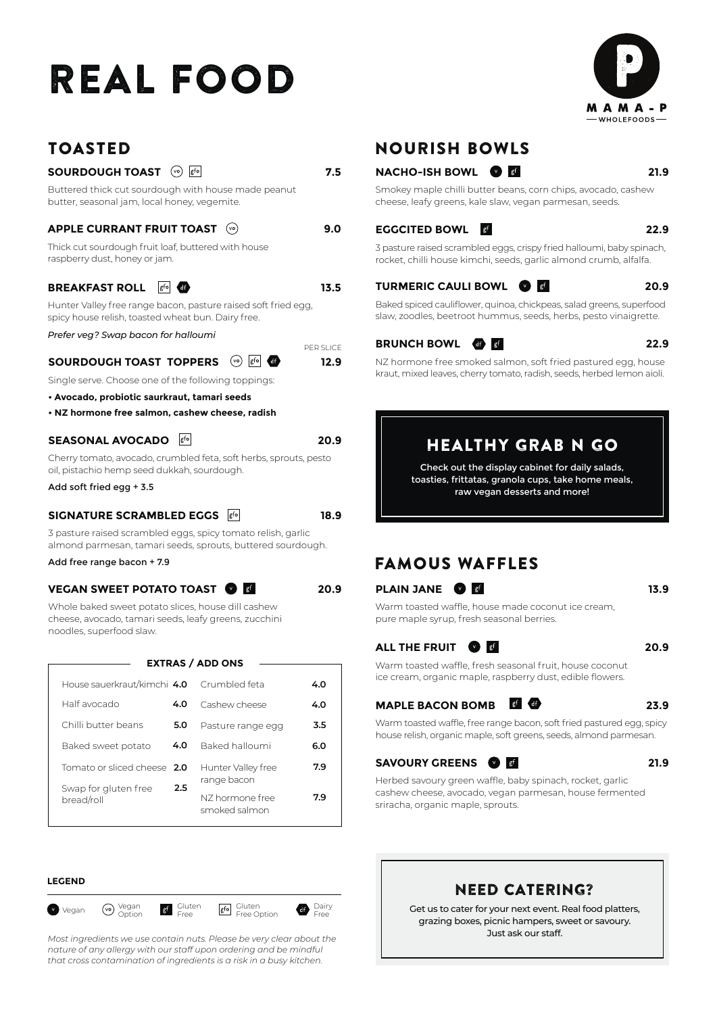# REAL FOOD



## TOASTED **SOURDOUGH TOAST**  $\circledcirc$   $\boxed{\phantom{000}$   $\phantom{\bullet00}$  **7.5** Buttered thick cut sourdough with house made peanut butter, seasonal jam, local honey, vegemite. **APPLE CURRANT FRUIT TOAST 9.0** Thick cut sourdough fruit loaf, buttered with house raspberry dust, honey or jam. **BREAKFAST ROLL**  $\begin{bmatrix} 6^{6} & 4^{6} \\ 6^{6} & 6^{6} \end{bmatrix}$  **13.5**

Hunter Valley free range bacon, pasture raised soft fried egg, spicy house relish, toasted wheat bun. Dairy free.

*Prefer veg? Swap bacon for halloumi*

#### **SOURDOUGH TOAST TOPPERS**  $\circledcirc$   $\circledcirc$  **40**

Single serve. Choose one of the following toppings:

- **Avocado, probiotic saurkraut, tamari seeds**
- **NZ hormone free salmon, cashew cheese, radish**

### **SEASONAL AVOCADO**

Cherry tomato, avocado, crumbled feta, soft herbs, sprouts, pesto oil, pistachio hemp seed dukkah, sourdough.

Add soft fried egg + 3.5

#### **SIGNATURE SCRAMBLED EGGS <b>8fo 18.9**

3 pasture raised scrambled eggs, spicy tomato relish, garlic almond parmesan, tamari seeds, sprouts, buttered sourdough.

Add free range bacon + 7.9

#### **VEGAN SWEET POTATO TOAST 20.9**

Whole baked sweet potato slices, house dill cashew cheese, avocado, tamari seeds, leafy greens, zucchini noodles, superfood slaw.

| <b>EXTRAS / ADD ONS</b>            |     |                                                 |     |  |  |
|------------------------------------|-----|-------------------------------------------------|-----|--|--|
|                                    |     |                                                 |     |  |  |
| House sauerkraut/kimchi 4.0        |     | Crumbled feta                                   | 4.0 |  |  |
| Half avocado                       | 4.0 | Cashew cheese                                   | 4.0 |  |  |
| Chilli butter beans                | 5.0 | Pasture range egg                               | 3.5 |  |  |
| Baked sweet potato                 | 4.0 | Baked halloumi                                  | 6.0 |  |  |
| Tomato or sliced cheese 2.0        |     | Hunter Valley free                              | 7.9 |  |  |
| Swap for gluten free<br>bread/roll | 2.5 | range bacon<br>NZ hormone free<br>smoked salmon | 7.9 |  |  |

#### **LEGEND**



*Most ingredients we use contain nuts. Please be very clear about the nature of any allergy with our staff upon ordering and be mindful that cross contamination of ingredients is a risk in a busy kitchen.*

## NOURISH BOWLS

#### **NACHO-ISH BOWL 21.9**

Smokey maple chilli butter beans, corn chips, avocado, cashew cheese, leafy greens, kale slaw, vegan parmesan, seeds.

#### **EGGCITED BOWL 22.9**

3 pasture raised scrambled eggs, crispy fried halloumi, baby spinach, rocket, chilli house kimchi, seeds, garlic almond crumb, alfalfa.

#### **TURMERIC CAULI BOWL 20.9**

Baked spiced cauliflower, quinoa, chickpeas, salad greens, superfood slaw, zoodles, beetroot hummus, seeds, herbs, pesto vinaigrette.

#### **BRUNCH BOWL 22.9**

NZ hormone free smoked salmon, soft fried pastured egg, house kraut, mixed leaves, cherry tomato, radish, seeds, herbed lemon aioli.

## HEALTHY GRAB N GO

Check out the display cabinet for daily salads, toasties, frittatas, granola cups, take home meals, raw vegan desserts and more!

## FAMOUS WAFFLES

### **PLAIN JANE 13.9**

Warm toasted waffle, house made coconut ice cream, pure maple syrup, fresh seasonal berries.

#### **ALL THE FRUIT 20.9**

Warm toasted waffle, fresh seasonal fruit, house coconut ice cream, organic maple, raspberry dust, edible flowers.

#### **MAPLE BACON BOMB 23.9**

Warm toasted waffle, free range bacon, soft fried pastured egg, spicy house relish, organic maple, soft greens, seeds, almond parmesan.

#### **SAVOURY GREENS 31.9**

Herbed savoury green waffle, baby spinach, rocket, garlic cashew cheese, avocado, vegan parmesan, house fermented sriracha, organic maple, sprouts.

## NEED CATERING?

Get us to cater for your next event. Real food platters, grazing boxes, picnic hampers, sweet or savoury. Just ask our staff.



**20.9**

**12.9** PER SLICE